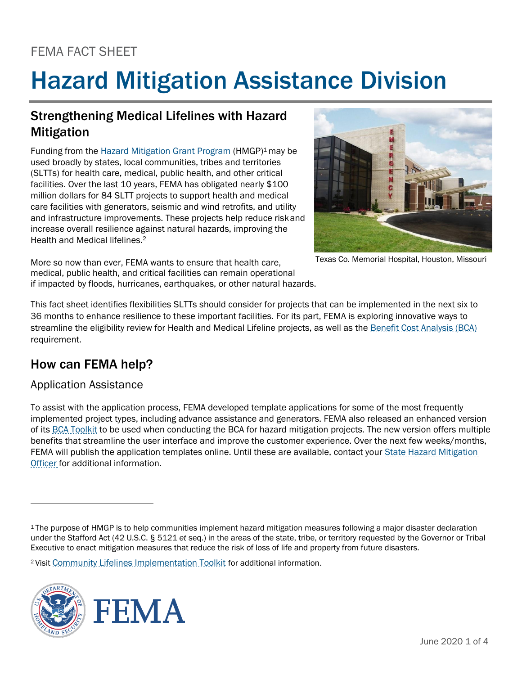# FEMA FACT SHEET

# Hazard Mitigation Assistance Division

# Strengthening Medical Lifelines with Hazard Mitigation

Funding from the Hazard Mitigation Grant Program (HMGP)1 may be used broadly by states, local communities, tribes and territories (SLTTs) for health care, medical, public health, and other critical facilities. Over the last 10 years, FEMA has obligated nearly \$100 million dollars for 84 SLTT projects to support health and medical care facilities with generators, seismic and wind retrofits, and utility and infrastructure improvements. These projects help reduce riskand increase overall resilience against natural hazards, improving the Health and Medical lifelines.<sup>2</sup>



Texas Co. Memorial Hospital, Houston, Missouri

More so now than ever, FEMA wants to ensure that health care, medical, public health, and critical facilities can remain operational if impacted by floods, hurricanes, earthquakes, or other natural hazards.

This fact sheet identifies flexibilities SLTTs should consider for projects that can be implemented in the next six to 36 months to enhance resilience to these important facilities. For its part, FEMA is exploring innovative ways to streamline the eligibility review for Health and Medical Lifeline projects, as well as the Benefit Cost Analysis (BCA) requirement.

# How can FEMA help?

#### Application Assistance

To assist with the application process, FEMA developed template applications for some of the most frequently implemented project types, including advance assistance and generators. FEMA also released an enhanced version of its BCA Toolkit to be used when conducting the BCA for hazard mitigation projects. The new version offers multiple benefits that streamline the user interface and improve the customer experience. Over the next few weeks/months, FEMA will publish the application templates online. Until these are available, contact your State Hazard Mitigation Officer for additional information.

<sup>2</sup>Visit Community Lifelines Implementation Toolkit for additional information.



<sup>1</sup>The purpose of HMGP is to help communities implement hazard mitigation measures following a major disaster declaration under the Stafford Act (42 U.S.C. § 5121 *et* seq.) in the areas of the state, tribe, or territory requested by the Governor or Tribal Executive to enact mitigation measures that reduce the risk of loss of life and property from future disasters.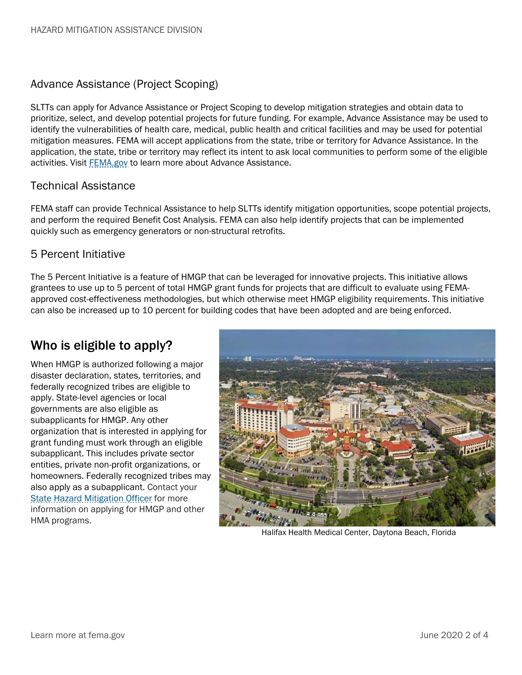#### Advance Assistance (Project Scoping)

SLTTs can apply for Advance Assistance or Project Scoping to develop mitigation strategies and obtain data to prioritize, select, and develop potential projects for future funding. For example, Advance Assistance may be used to identify the vulnerabilities of health care, medical, public health and critical facilities and may be used for potential mitigation measures. FEMA will accept applications from the state, tribe or territory for Advance Assistance. In the application, the state, tribe or territory may reflect its intent to ask local communities to perform some of the eligible activities. Visit FEMA.gov to learn more about Advance Assistance.

#### Technical Assistance

FEMA staff can provide Technical Assistance to help SLTTs identify mitigation opportunities, scope potential projects, and perform the required Benefit Cost Analysis. FEMA can also help identify projects that can be implemented quickly such as emergency generators or non-structural retrofits.

#### 5 Percent Initiative

The 5 Percent Initiative is a feature of HMGP that can be leveraged for innovative projects. This initiative allows grantees to use up to 5 percent of total HMGP grant funds for projects that are difficult to evaluate using FEMAapproved cost-effectiveness methodologies, but which otherwise meet HMGP eligibility requirements. This initiative can also be increased up to 10 percent for building codes that have been adopted and are being enforced.

## Who is eligible to apply?

When HMGP is authorized following a major disaster declaration, states, territories, and federally recognized tribes are eligible to apply. State-level agencies or local governments are also eligible as subapplicants for HMGP. Any other organization that is interested in applying for grant funding must work through an eligible subapplicant. This includes private sector entities, private non-profit organizations, or homeowners. Federally recognized tribes may also apply as a subapplicant. Contact your State Hazard Mitigation Officer for more information on applying for HMGP and other HMA programs.



Halifax Health Medical Center, Daytona Beach, Florida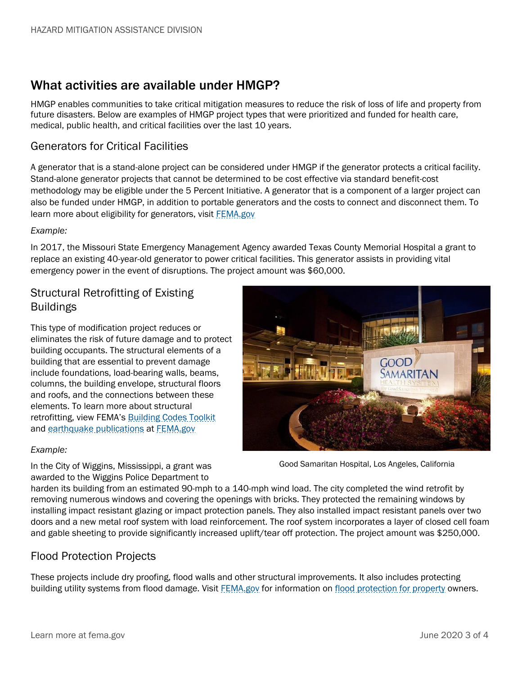## What activities are available under HMGP?

HMGP enables communities to take critical mitigation measures to reduce the risk of loss of life and property from future disasters. Below are examples of HMGP project types that were prioritized and funded for health care, medical, public health, and critical facilities over the last 10 years.

#### Generators for Critical Facilities

A generator that is a stand-alone project can be considered under HMGP if the generator protects a critical facility. Stand-alone generator projects that cannot be determined to be cost effective via standard benefit-cost methodology may be eligible under the 5 Percent Initiative. A generator that is a component of a larger project can also be funded under HMGP, in addition to portable generators and the costs to connect and disconnect them. To learn more about eligibility for generators, visit FEMA.gov

#### *Example:*

In 2017, the Missouri State Emergency Management Agency awarded Texas County Memorial Hospital a grant to replace an existing 40-year-old generator to power critical facilities. This generator assists in providing vital emergency power in the event of disruptions. The project amount was \$60,000.

#### Structural Retrofitting of Existing Buildings

This type of modification project reduces or eliminates the risk of future damage and to protect building occupants. The structural elements of a building that are essential to prevent damage include foundations, load-bearing walls, beams, columns, the building envelope, structural floors and roofs, and the connections between these elements. To learn more about structural retrofitting, view FEMA's Building Codes Toolkit and earthquake publications at FEMA.gov

# MARITAN

#### *Example:*

In the City of Wiggins, Mississippi, a grant was Good Samaritan Hospital, Los Angeles, California awarded to the Wiggins Police Department to

harden its building from an estimated 90-mph to a 140-mph wind load. The city completed the wind retrofit by removing numerous windows and covering the openings with bricks. They protected the remaining windows by installing impact resistant glazing or impact protection panels. They also installed impact resistant panels over two doors and a new metal roof system with load reinforcement. The roof system incorporates a layer of closed cell foam and gable sheeting to provide significantly increased uplift/tear off protection. The project amount was \$250,000.

#### Flood Protection Projects

These projects include dry proofing, flood walls and other structural improvements. It also includes protecting building utility systems from flood damage. Visit FEMA.gov for information on flood protection for property owners.